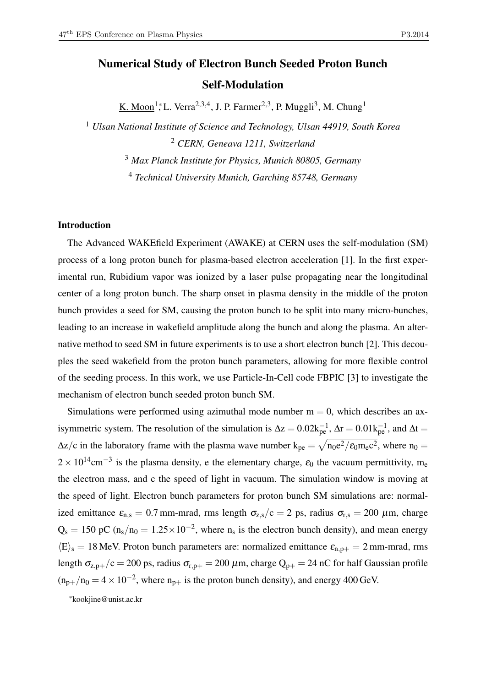# Numerical Study of Electron Bunch Seeded Proton Bunch

## Self-Modulation

K. Moon<sup>1</sup>; L. Verra<sup>2,3,4</sup>, J. P. Farmer<sup>2,3</sup>, P. Muggli<sup>3</sup>, M. Chung<sup>1</sup>

<sup>1</sup> *Ulsan National Institute of Science and Technology, Ulsan 44919, South Korea* <sup>2</sup> *CERN, Geneava 1211, Switzerland*

<sup>3</sup> *Max Planck Institute for Physics, Munich 80805, Germany*

<sup>4</sup> *Technical University Munich, Garching 85748, Germany*

#### Introduction

The Advanced WAKEfield Experiment (AWAKE) at CERN uses the self-modulation (SM) process of a long proton bunch for plasma-based electron acceleration [1]. In the first experimental run, Rubidium vapor was ionized by a laser pulse propagating near the longitudinal center of a long proton bunch. The sharp onset in plasma density in the middle of the proton bunch provides a seed for SM, causing the proton bunch to be split into many micro-bunches, leading to an increase in wakefield amplitude along the bunch and along the plasma. An alternative method to seed SM in future experiments is to use a short electron bunch [2]. This decouples the seed wakefield from the proton bunch parameters, allowing for more flexible control of the seeding process. In this work, we use Particle-In-Cell code FBPIC [3] to investigate the mechanism of electron bunch seeded proton bunch SM.

Simulations were performed using azimuthal mode number  $m = 0$ , which describes an axisymmetric system. The resolution of the simulation is  $\Delta z = 0.02 k_{pe}^{-1}$ ,  $\Delta r = 0.01 k_{pe}^{-1}$ , and  $\Delta t =$  $\Delta z/c$  in the laboratory frame with the plasma wave number  $k_{pe} = \sqrt{n_0 e^2/\epsilon_0 m_e c^2}$ , where  $n_0 =$  $2 \times 10^{14}$ cm<sup>-3</sup> is the plasma density, e the elementary charge,  $\varepsilon_0$  the vacuum permittivity, m<sub>e</sub> the electron mass, and c the speed of light in vacuum. The simulation window is moving at the speed of light. Electron bunch parameters for proton bunch SM simulations are: normalized emittance  $\varepsilon_{n,s} = 0.7$  mm-mrad, rms length  $\sigma_{z,s}/c = 2$  ps, radius  $\sigma_{r,s} = 200 \mu m$ , charge  $Q_s = 150$  pC (n<sub>s</sub>/n<sub>0</sub> = 1.25 × 10<sup>-2</sup>, where n<sub>s</sub> is the electron bunch density), and mean energy  $\langle E \rangle_s = 18$  MeV. Proton bunch parameters are: normalized emittance  $\varepsilon_{n,p+} = 2$  mm-mrad, rms length  $\sigma_{z,p+}/c = 200$  ps, radius  $\sigma_{r,p+} = 200 \,\mu$ m, charge  $Q_{p+} = 24$  nC for half Gaussian profile  $(n_{p+}/n_0 = 4 \times 10^{-2})$ , where  $n_{p+}$  is the proton bunch density), and energy 400 GeV.

\*kookjine@unist.ac.kr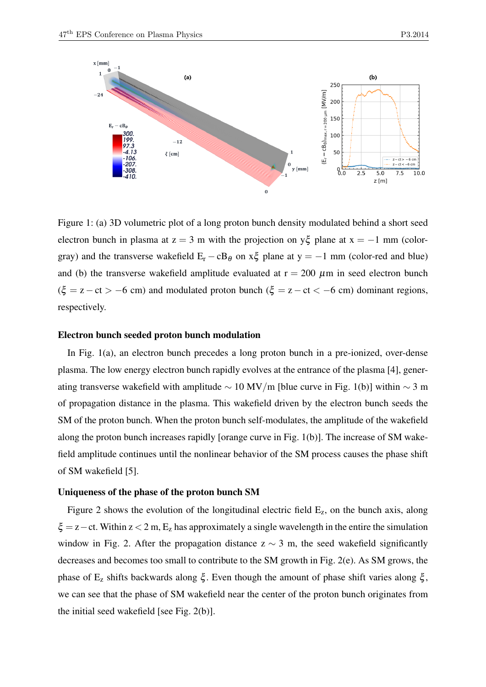

Figure 1: (a) 3D volumetric plot of a long proton bunch density modulated behind a short seed electron bunch in plasma at  $z = 3$  m with the projection on y $\xi$  plane at  $x = -1$  mm (colorgray) and the transverse wakefield  $E_r - cB_\theta$  on  $x\xi$  plane at y = −1 mm (color-red and blue) and (b) the transverse wakefield amplitude evaluated at  $r = 200 \mu m$  in seed electron bunch  $(\xi = z - ct > -6$  cm) and modulated proton bunch  $(\xi = z - ct < -6$  cm) dominant regions, respectively.

#### Electron bunch seeded proton bunch modulation

In Fig. 1(a), an electron bunch precedes a long proton bunch in a pre-ionized, over-dense plasma. The low energy electron bunch rapidly evolves at the entrance of the plasma [4], generating transverse wakefield with amplitude  $\sim 10 \text{ MV/m}$  [blue curve in Fig. 1(b)] within  $\sim 3 \text{ m}$ of propagation distance in the plasma. This wakefield driven by the electron bunch seeds the SM of the proton bunch. When the proton bunch self-modulates, the amplitude of the wakefield along the proton bunch increases rapidly [orange curve in Fig. 1(b)]. The increase of SM wakefield amplitude continues until the nonlinear behavior of the SM process causes the phase shift of SM wakefield [5].

#### Uniqueness of the phase of the proton bunch SM

Figure 2 shows the evolution of the longitudinal electric field  $E_z$ , on the bunch axis, along  $\xi$  = z – ct. Within z < 2 m,  $E_z$  has approximately a single wavelength in the entire the simulation window in Fig. 2. After the propagation distance  $z \sim 3$  m, the seed wakefield significantly decreases and becomes too small to contribute to the SM growth in Fig. 2(e). As SM grows, the phase of  $E_z$  shifts backwards along ξ. Even though the amount of phase shift varies along ξ, we can see that the phase of SM wakefield near the center of the proton bunch originates from the initial seed wakefield [see Fig. 2(b)].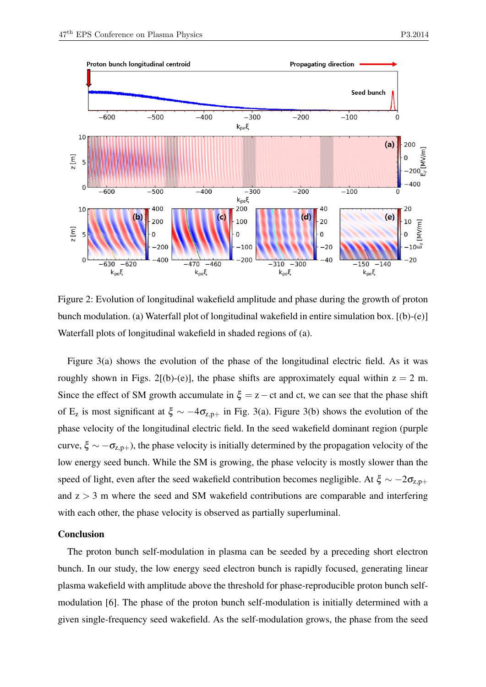

Figure 2: Evolution of longitudinal wakefield amplitude and phase during the growth of proton bunch modulation. (a) Waterfall plot of longitudinal wakefield in entire simulation box. [(b)-(e)] Waterfall plots of longitudinal wakefield in shaded regions of (a).

Figure 3(a) shows the evolution of the phase of the longitudinal electric field. As it was roughly shown in Figs. 2[(b)-(e)], the phase shifts are approximately equal within  $z = 2$  m. Since the effect of SM growth accumulate in  $\xi = z - ct$  and ct, we can see that the phase shift of E<sub>z</sub> is most significant at  $\xi \sim -4\sigma_{z,p+}$  in Fig. 3(a). Figure 3(b) shows the evolution of the phase velocity of the longitudinal electric field. In the seed wakefield dominant region (purple curve,  $\xi \sim -\sigma_{z,p+}$ ), the phase velocity is initially determined by the propagation velocity of the low energy seed bunch. While the SM is growing, the phase velocity is mostly slower than the speed of light, even after the seed wakefield contribution becomes negligible. At  $\xi \sim -2\sigma_{z,p+1}$ and  $z > 3$  m where the seed and SM wakefield contributions are comparable and interfering with each other, the phase velocity is observed as partially superluminal.

### Conclusion

The proton bunch self-modulation in plasma can be seeded by a preceding short electron bunch. In our study, the low energy seed electron bunch is rapidly focused, generating linear plasma wakefield with amplitude above the threshold for phase-reproducible proton bunch selfmodulation [6]. The phase of the proton bunch self-modulation is initially determined with a given single-frequency seed wakefield. As the self-modulation grows, the phase from the seed